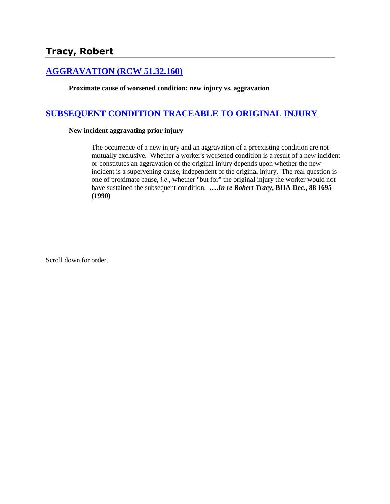# **[AGGRAVATION \(RCW 51.32.160\)](http://www.biia.wa.gov/SDSubjectIndex.html#AGGRAVATION)**

**Proximate cause of worsened condition: new injury vs. aggravation**

# **[SUBSEQUENT CONDITION TRACEABLE TO ORIGINAL INJURY](http://www.biia.wa.gov/SDSubjectIndex.html#SUBSEQUENT_CONDITION_TRACEABLE_TO_ORIGINAL_INJURY)**

### **New incident aggravating prior injury**

The occurrence of a new injury and an aggravation of a preexisting condition are not mutually exclusive. Whether a worker's worsened condition is a result of a new incident or constitutes an aggravation of the original injury depends upon whether the new incident is a supervening cause, independent of the original injury. The real question is one of proximate cause, *i.e*., whether "but for" the original injury the worker would not have sustained the subsequent condition. **….***In re Robert Tracy***, BIIA Dec., 88 1695 (1990)**

Scroll down for order.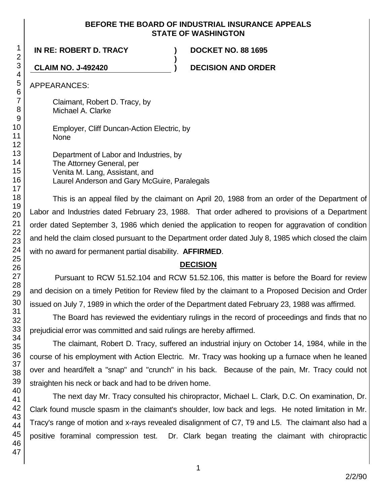### **BEFORE THE BOARD OF INDUSTRIAL INSURANCE APPEALS STATE OF WASHINGTON**

**)**

**IN RE: ROBERT D. TRACY ) DOCKET NO. 88 1695**

**CLAIM NO. J-492420 ) DECISION AND ORDER**

APPEARANCES:

Claimant, Robert D. Tracy, by Michael A. Clarke

Employer, Cliff Duncan-Action Electric, by None

Department of Labor and Industries, by The Attorney General, per Venita M. Lang, Assistant, and Laurel Anderson and Gary McGuire, Paralegals

This is an appeal filed by the claimant on April 20, 1988 from an order of the Department of Labor and Industries dated February 23, 1988. That order adhered to provisions of a Department order dated September 3, 1986 which denied the application to reopen for aggravation of condition and held the claim closed pursuant to the Department order dated July 8, 1985 which closed the claim with no award for permanent partial disability. **AFFIRMED**.

## **DECISION**

Pursuant to RCW 51.52.104 and RCW 51.52.106, this matter is before the Board for review and decision on a timely Petition for Review filed by the claimant to a Proposed Decision and Order issued on July 7, 1989 in which the order of the Department dated February 23, 1988 was affirmed.

The Board has reviewed the evidentiary rulings in the record of proceedings and finds that no prejudicial error was committed and said rulings are hereby affirmed.

The claimant, Robert D. Tracy, suffered an industrial injury on October 14, 1984, while in the course of his employment with Action Electric. Mr. Tracy was hooking up a furnace when he leaned over and heard/felt a "snap" and "crunch" in his back. Because of the pain, Mr. Tracy could not straighten his neck or back and had to be driven home.

The next day Mr. Tracy consulted his chiropractor, Michael L. Clark, D.C. On examination, Dr. Clark found muscle spasm in the claimant's shoulder, low back and legs. He noted limitation in Mr. Tracy's range of motion and x-rays revealed disalignment of C7, T9 and L5. The claimant also had a positive foraminal compression test. Dr. Clark began treating the claimant with chiropractic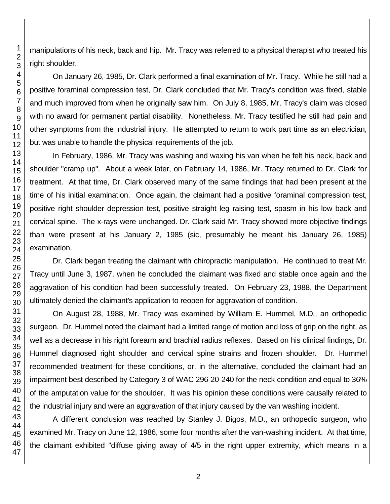manipulations of his neck, back and hip. Mr. Tracy was referred to a physical therapist who treated his right shoulder.

On January 26, 1985, Dr. Clark performed a final examination of Mr. Tracy. While he still had a positive foraminal compression test, Dr. Clark concluded that Mr. Tracy's condition was fixed, stable and much improved from when he originally saw him. On July 8, 1985, Mr. Tracy's claim was closed with no award for permanent partial disability. Nonetheless, Mr. Tracy testified he still had pain and other symptoms from the industrial injury. He attempted to return to work part time as an electrician, but was unable to handle the physical requirements of the job.

In February, 1986, Mr. Tracy was washing and waxing his van when he felt his neck, back and shoulder "cramp up". About a week later, on February 14, 1986, Mr. Tracy returned to Dr. Clark for treatment. At that time, Dr. Clark observed many of the same findings that had been present at the time of his initial examination. Once again, the claimant had a positive foraminal compression test, positive right shoulder depression test, positive straight leg raising test, spasm in his low back and cervical spine. The x-rays were unchanged. Dr. Clark said Mr. Tracy showed more objective findings than were present at his January 2, 1985 (sic, presumably he meant his January 26, 1985) examination.

Dr. Clark began treating the claimant with chiropractic manipulation. He continued to treat Mr. Tracy until June 3, 1987, when he concluded the claimant was fixed and stable once again and the aggravation of his condition had been successfully treated. On February 23, 1988, the Department ultimately denied the claimant's application to reopen for aggravation of condition.

On August 28, 1988, Mr. Tracy was examined by William E. Hummel, M.D., an orthopedic surgeon. Dr. Hummel noted the claimant had a limited range of motion and loss of grip on the right, as well as a decrease in his right forearm and brachial radius reflexes. Based on his clinical findings, Dr. Hummel diagnosed right shoulder and cervical spine strains and frozen shoulder. Dr. Hummel recommended treatment for these conditions, or, in the alternative, concluded the claimant had an impairment best described by Category 3 of WAC 296-20-240 for the neck condition and equal to 36% of the amputation value for the shoulder. It was his opinion these conditions were causally related to the industrial injury and were an aggravation of that injury caused by the van washing incident.

A different conclusion was reached by Stanley J. Bigos, M.D., an orthopedic surgeon, who examined Mr. Tracy on June 12, 1986, some four months after the van-washing incident. At that time, the claimant exhibited "diffuse giving away of 4/5 in the right upper extremity, which means in a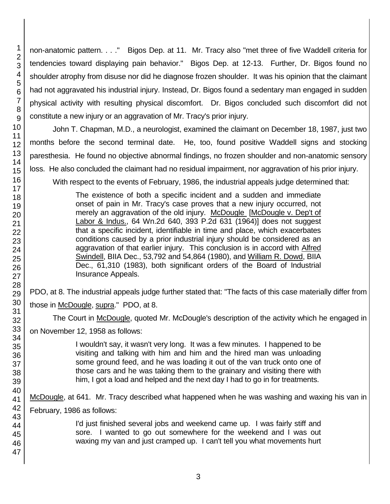non-anatomic pattern. . . ." Bigos Dep. at 11. Mr. Tracy also "met three of five Waddell criteria for tendencies toward displaying pain behavior." Bigos Dep. at 12-13. Further, Dr. Bigos found no shoulder atrophy from disuse nor did he diagnose frozen shoulder. It was his opinion that the claimant had not aggravated his industrial injury. Instead, Dr. Bigos found a sedentary man engaged in sudden physical activity with resulting physical discomfort. Dr. Bigos concluded such discomfort did not constitute a new injury or an aggravation of Mr. Tracy's prior injury.

John T. Chapman, M.D., a neurologist, examined the claimant on December 18, 1987, just two months before the second terminal date. He, too, found positive Waddell signs and stocking paresthesia. He found no objective abnormal findings, no frozen shoulder and non-anatomic sensory loss. He also concluded the claimant had no residual impairment, nor aggravation of his prior injury.

With respect to the events of February, 1986, the industrial appeals judge determined that:

The existence of both a specific incident and a sudden and immediate onset of pain in Mr. Tracy's case proves that a new injury occurred, not merely an aggravation of the old injury. McDougle [McDougle v. Dep't of Labor & Indus., 64 Wn.2d 640, 393 P.2d 631 (1964)] does not suggest that a specific incident, identifiable in time and place, which exacerbates conditions caused by a prior industrial injury should be considered as an aggravation of that earlier injury. This conclusion is in accord with Alfred Swindell, BIIA Dec., 53,792 and 54,864 (1980), and William R. Dowd, BIIA Dec., 61,310 (1983), both significant orders of the Board of Industrial Insurance Appeals.

PDO, at 8. The industrial appeals judge further stated that: "The facts of this case materially differ from those in McDougle, supra." PDO, at 8.

The Court in McDougle, quoted Mr. McDougle's description of the activity which he engaged in on November 12, 1958 as follows:

> I wouldn't say, it wasn't very long. It was a few minutes. I happened to be visiting and talking with him and him and the hired man was unloading some ground feed, and he was loading it out of the van truck onto one of those cars and he was taking them to the grainary and visiting there with him, I got a load and helped and the next day I had to go in for treatments.

McDougle, at 641. Mr. Tracy described what happened when he was washing and waxing his van in February, 1986 as follows:

> I'd just finished several jobs and weekend came up. I was fairly stiff and sore. I wanted to go out somewhere for the weekend and I was out waxing my van and just cramped up. I can't tell you what movements hurt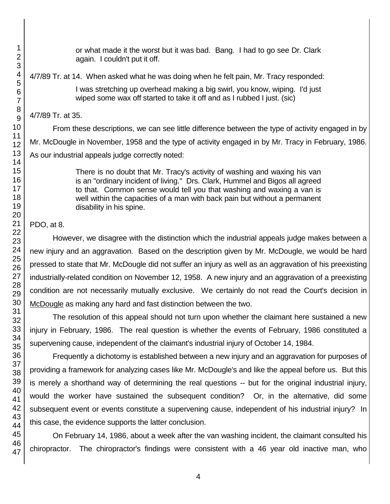or what made it the worst but it was bad. Bang. I had to go see Dr. Clark again. I couldn't put it off.

4/7/89 Tr. at 14. When asked what he was doing when he felt pain, Mr. Tracy responded:

I was stretching up overhead making a big swirl, you know, wiping. I'd just wiped some wax off started to take it off and as I rubbed I just. (sic)

4/7/89 Tr. at 35.

From these descriptions, we can see little difference between the type of activity engaged in by Mr. McDougle in November, 1958 and the type of activity engaged in by Mr. Tracy in February, 1986. As our industrial appeals judge correctly noted:

> There is no doubt that Mr. Tracy's activity of washing and waxing his van is an "ordinary incident of living." Drs. Clark, Hummel and Bigos all agreed to that. Common sense would tell you that washing and waxing a van is well within the capacities of a man with back pain but without a permanent disability in his spine.

## PDO, at 8.

However, we disagree with the distinction which the industrial appeals judge makes between a new injury and an aggravation. Based on the description given by Mr. McDougle, we would be hard pressed to state that Mr. McDougle did not suffer an injury as well as an aggravation of his preexisting industrially-related condition on November 12, 1958. A new injury and an aggravation of a preexisting condition are not necessarily mutually exclusive. We certainly do not read the Court's decision in McDougle as making any hard and fast distinction between the two.

The resolution of this appeal should not turn upon whether the claimant here sustained a new injury in February, 1986. The real question is whether the events of February, 1986 constituted a supervening cause, independent of the claimant's industrial injury of October 14, 1984.

Frequently a dichotomy is established between a new injury and an aggravation for purposes of providing a framework for analyzing cases like Mr. McDougle's and like the appeal before us. But this is merely a shorthand way of determining the real questions -- but for the original industrial injury, would the worker have sustained the subsequent condition? Or, in the alternative, did some subsequent event or events constitute a supervening cause, independent of his industrial injury? In this case, the evidence supports the latter conclusion.

On February 14, 1986, about a week after the van washing incident, the claimant consulted his chiropractor. The chiropractor's findings were consistent with a 46 year old inactive man, who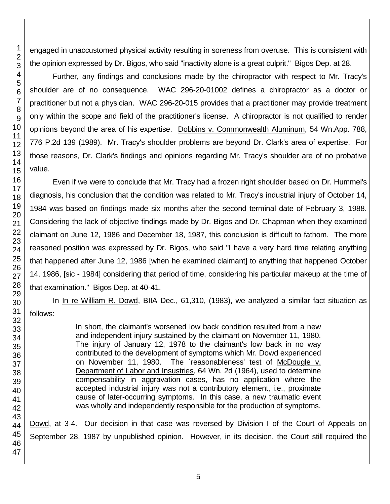engaged in unaccustomed physical activity resulting in soreness from overuse. This is consistent with the opinion expressed by Dr. Bigos, who said "inactivity alone is a great culprit." Bigos Dep. at 28.

Further, any findings and conclusions made by the chiropractor with respect to Mr. Tracy's shoulder are of no consequence. WAC 296-20-01002 defines a chiropractor as a doctor or practitioner but not a physician. WAC 296-20-015 provides that a practitioner may provide treatment only within the scope and field of the practitioner's license. A chiropractor is not qualified to render opinions beyond the area of his expertise. Dobbins v. Commonwealth Aluminum, 54 Wn.App. 788, 776 P.2d 139 (1989). Mr. Tracy's shoulder problems are beyond Dr. Clark's area of expertise. For those reasons, Dr. Clark's findings and opinions regarding Mr. Tracy's shoulder are of no probative value.

Even if we were to conclude that Mr. Tracy had a frozen right shoulder based on Dr. Hummel's diagnosis, his conclusion that the condition was related to Mr. Tracy's industrial injury of October 14, 1984 was based on findings made six months after the second terminal date of February 3, 1988. Considering the lack of objective findings made by Dr. Bigos and Dr. Chapman when they examined claimant on June 12, 1986 and December 18, 1987, this conclusion is difficult to fathom. The more reasoned position was expressed by Dr. Bigos, who said "I have a very hard time relating anything that happened after June 12, 1986 [when he examined claimant] to anything that happened October 14, 1986, [sic - 1984] considering that period of time, considering his particular makeup at the time of that examination." Bigos Dep. at 40-41.

In In re William R. Dowd, BIIA Dec., 61,310, (1983), we analyzed a similar fact situation as follows:

> In short, the claimant's worsened low back condition resulted from a new and independent injury sustained by the claimant on November 11, 1980. The injury of January 12, 1978 to the claimant's low back in no way contributed to the development of symptoms which Mr. Dowd experienced on November 11, 1980. The `reasonableness' test of McDougle v. Department of Labor and Insustries, 64 Wn. 2d (1964), used to determine compensability in aggravation cases, has no application where the accepted industrial injury was not a contributory element, i.e., proximate cause of later-occurring symptoms. In this case, a new traumatic event was wholly and independently responsible for the production of symptoms.

Dowd, at 3-4. Our decision in that case was reversed by Division I of the Court of Appeals on September 28, 1987 by unpublished opinion. However, in its decision, the Court still required the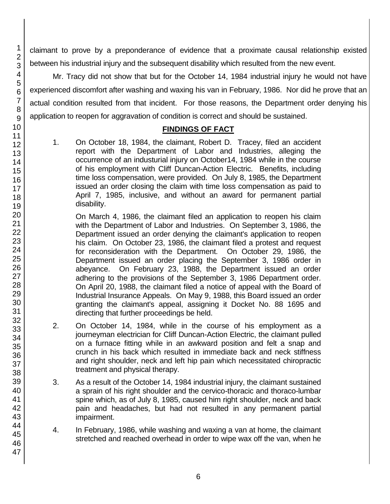claimant to prove by a preponderance of evidence that a proximate causal relationship existed between his industrial injury and the subsequent disability which resulted from the new event.

Mr. Tracy did not show that but for the October 14, 1984 industrial injury he would not have experienced discomfort after washing and waxing his van in February, 1986. Nor did he prove that an actual condition resulted from that incident. For those reasons, the Department order denying his application to reopen for aggravation of condition is correct and should be sustained.

### **FINDINGS OF FACT**

1. On October 18, 1984, the claimant, Robert D. Tracey, filed an accident report with the Department of Labor and Industries, alleging the occurrence of an industurial injury on October14, 1984 while in the course of his employment with Cliff Duncan-Action Electric. Benefits, including time loss compensation, were provided. On July 8, 1985, the Department issued an order closing the claim with time loss compensation as paid to April 7, 1985, inclusive, and without an award for permanent partial disability.

On March 4, 1986, the claimant filed an application to reopen his claim with the Department of Labor and Industries. On September 3, 1986, the Department issued an order denying the claimant's application to reopen his claim. On October 23, 1986, the claimant filed a protest and request for reconsideration with the Department. On October 29, 1986, the Department issued an order placing the September 3, 1986 order in abeyance. On February 23, 1988, the Department issued an order adhering to the provisions of the September 3, 1986 Department order. On April 20, 1988, the claimant filed a notice of appeal with the Board of Industrial Insurance Appeals. On May 9, 1988, this Board issued an order granting the claimant's appeal, assigning it Docket No. 88 1695 and directing that further proceedings be held.

- 2. On October 14, 1984, while in the course of his employment as a journeyman electrician for Cliff Duncan-Action Electric, the claimant pulled on a furnace fitting while in an awkward position and felt a snap and crunch in his back which resulted in immediate back and neck stiffness and right shoulder, neck and left hip pain which necessitated chiropractic treatment and physical therapy.
- 3. As a result of the October 14, 1984 industrial injury, the claimant sustained a sprain of his right shoulder and the cervico-thoracic and thoraco-lumbar spine which, as of July 8, 1985, caused him right shoulder, neck and back pain and headaches, but had not resulted in any permanent partial impairment.
- 4. In February, 1986, while washing and waxing a van at home, the claimant stretched and reached overhead in order to wipe wax off the van, when he
- 2 3 4 5 6 7 8 9 10 11 12 13 14 15 16 17 18 19 20 21 22 23 24 25 26 27 28 29 30 31 32 33 34 35 36 37 38 39 40 41 42 43 44 45 46 47